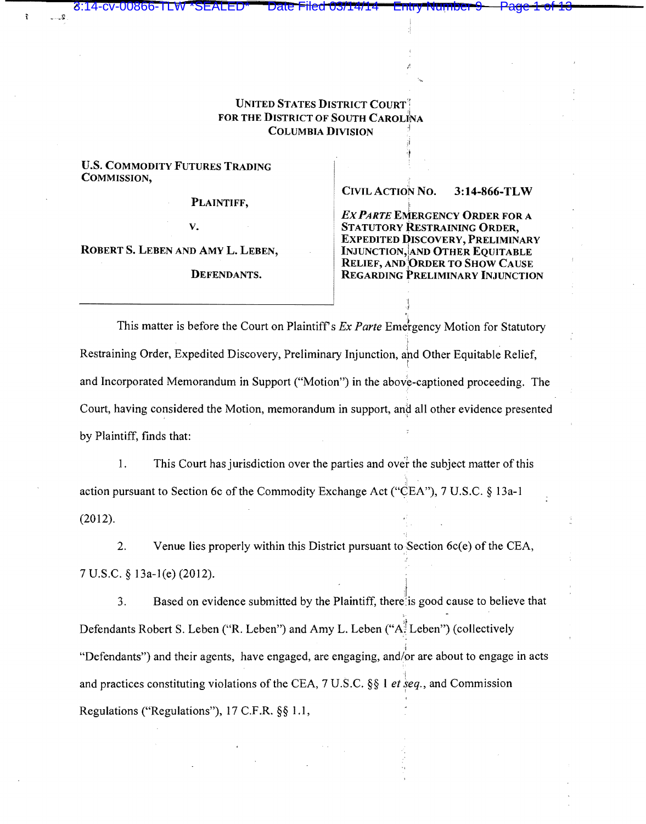## UNITED STATES DISTRICT COURT': FOR THE DISTRICT OF SOUTH CAROLINA **COLUMBIA DIVISION**

U.S. COMMODITY FUTURES TRADING COMMISSION,

3:14-cv-00866-TLW \* SEALED

PLAINTIFF,

v.

ROBERTS. LEBEN AND AMYL. LEBEN,

DEFENDANTS.

CIVIL ACTION No. 3:14-866-TLW

**EX PARTE EMERGENCY ORDER FOR A** STATUTORY RESTRAINING ORDER, EXPEDITED DISCOVERY, PRELIMINARY INJUNCTION, AND OTHER EQUITABLE RELIEF, AND ORDER TO SHOW CAUSE REGARDING PRELIMINARY INJUNCTION

This matter is before the Court on Plaintiff's *Ex Parte* Emergency Motion for Statutory Restraining Order, Expedited Discovery, Preliminary Injunction, and Other Equitable Relief, t and Incorporated Memorandum in Support ("Motion") in the above-captioned proceeding. The Court, having considered the Motion, memorandum in support, and all other evidence presented by Plaintiff, finds that:

1. This Court has jurisdiction over the parties and ovef the subject matter of this action pursuant to Section 6c of the Commodity Exchange Act ("CEA''), 7 U.S.C. § 13a-1 (2012).

2. Venue lies properly within this District pursuant to.Section 6c(e) of the CEA, 7 U.S.C. § 13a-l(e) (2012). 1

3. Based on evidence submitted by the Plaintiff, there is good cause to believe that Defendants Robert S. Leben ("R. Leben") and Amy L. Leben ("A $\frac{1}{2}$  Leben") (collectively I "Defendants") and their agents, have engaged, are engaging, and/or are about to engage in acts and practices constituting violations of the CEA, 7 U.S.C. §§ 1 *et* seq., and Commission Regulations ("Regulations"), 17 C.F .R. §§ 1 .1,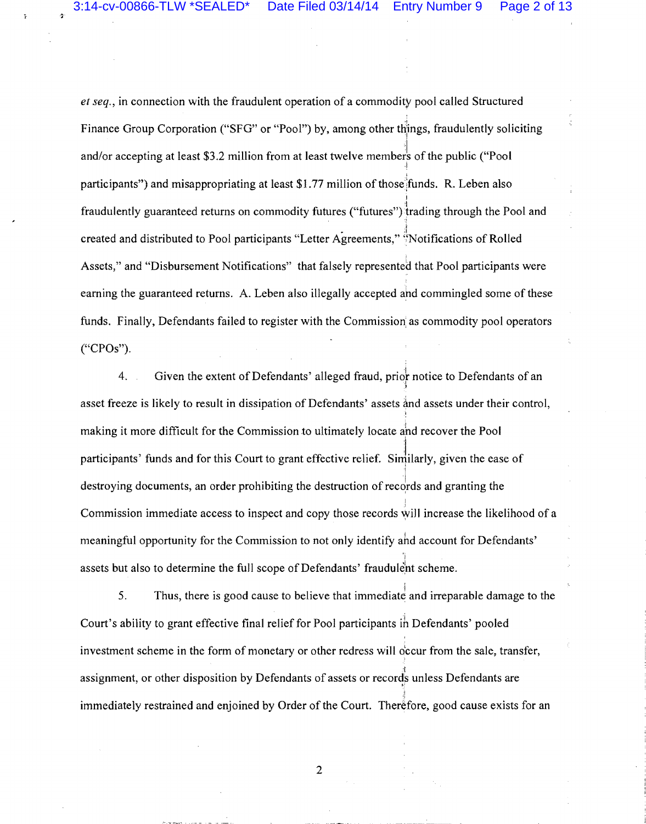*et seq.,* in connection with the fraudulent operation of a commodity pool called Structured Finance Group Corporation ("SFG" or "Pool") by, among other things, fraudulently soliciting and/or accepting at least \$3.2 million from at least twelve members of the public ("Pool I i participants") and misappropriating at least  $$1.77$  million of those funds. R. Leben also I fraudulently guaranteed returns on commodity futures ("futures")}rading through the Pool and  $\mathbb{R}$ created and distributed to Pool participants "Letter Agreements," ';Notifications of Rolled Assets," and "Disbursement Notifications" that falsely represented that Pool participants were earning the guaranteed returns. A. Leben also illegally accepted and commingled some of these funds. Finally, Defendants failed to register with the Commission as commodity pool operators ("CPOs").

4. Given the extent of Defendants' alleged fraud, prior notice to Defendants of an .I asset freeze is likely to result in dissipation of Defendants' assets and assets under their control, ' making it more difficult for the Commission to ultimately locate ahd recover the Pool participants' funds and for this Court to grant effective relief. Similarly, given the ease of "! destroying documents, an order prohibiting the destruction of records and granting the I Commission immediate access to inspect and copy those records will increase the likelihood of a meaningful opportunity for the Commission to not only identify ahd account for Defendants' ·, assets but also to determine the full scope of Defendants' fraudulent scheme.

5. Thus, there is good cause to believe that immediate and irreparable damage to the Court's ability to grant effective final relief for Pool participants ih Defendants' pooled investment scheme in the form of monetary or other redress will o'ccur from the sale, transfer, assignment, or other disposition by Defendants of assets or records unless Defendants are immediately restrained and enjoined by Order of the Court. Therefore, good cause exists for an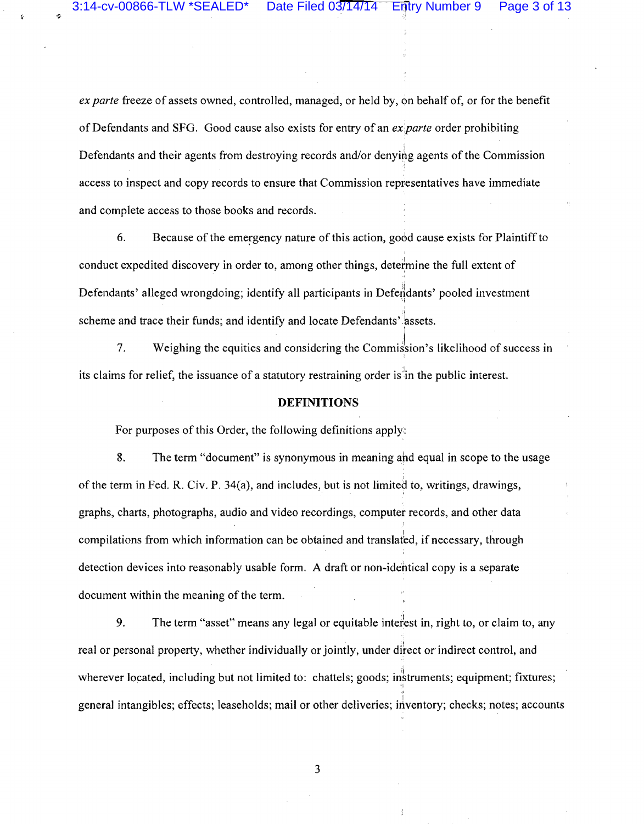*ex parte* freeze of assets owned, controlled, managed, or held by, on behalf of, or for the benefit of Defendants and SFG. Good cause also exists for entry of an *ex parte* order prohibiting Defendants and their agents from destroying records and/or denying agents of the Commission i access to inspect and copy records to ensure that Commission representatives have immediate and complete access to those books and records.

6. Because of the emergency nature of this action, good cause exists for Plaintiff to conduct expedited discovery in order to, among other things, determine the full extent of Defendants' alleged wrongdoing; identify all participants in Defendants' pooled investment ,, scheme and trace their funds; and identify and locate Defendants' assets.

7. Weighing the equities and considering the Commission's likelihood of success in its claims for relief, the issuance of a statutory restraining order is in the public interest.

#### **DEFINITIONS**

For purposes of this Order, the following definitions apply:

8. The term "document" is synonymous in meaning and equal in scope to the usage ;<br>։ of the term in Fed. R. Civ. P.  $34(a)$ , and includes, but is not limited to, writings, drawings, graphs, charts, photographs, audio and video recordings, computer records, and other data compilations from which information can be obtained and translated, if necessary, through detection devices into reasonably usable form. A draft or non-identical copy is a separate document within the meaning of the term.

9. The term "asset" means any legal or equitable intefiest in, right to, or claim to, any real or personal property, whether individually or jointly, under direct or indirect control, and wherever located, including but not limited to: chattels; goods; instruments; equipment; fixtures; ,, general intangibles; effects; leaseholds; mail or other deliveries; inventory; checks; notes; accounts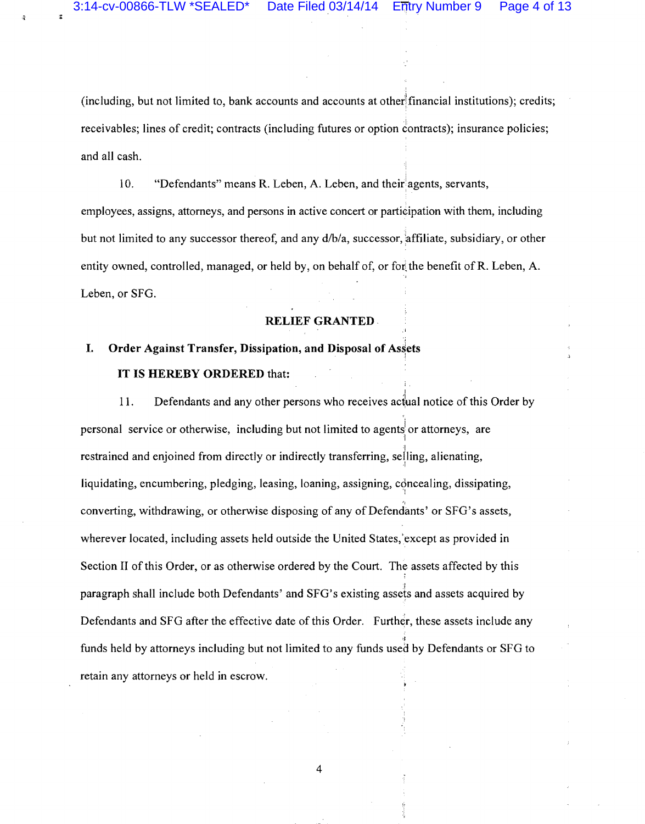(including, but not limited to, bank accounts and accounts at other financial institutions); credits; receivables; lines of credit; contracts (including futures or option contracts); insurance policies; and all cash.

10. "Defendants" means R. Leben, A. Leben, and their agents, servants, employees, assigns, attorneys, and persons in active concert or participation with them, including but not limited to any successor thereof, and any  $d/b/a$ , successor, affiliate, subsidiary, or other entity owned, controlled, managed, or held by, on behalf of, or for the benefit of R. Leben, A. Leben, or SFG.

#### RELIEF GRANTED.

# I. Order Against Transfer, Dissipation, and Disposal of Assets IT IS HEREBY ORDERED that:

I 11. Defendants and any other persons who receives actual notice of this Order by personal service or otherwise, including but not limited to agentsi or attorneys, are I restrained and enjoined from directly or indirectly transferring, selling, alienating, liquidating, encumbering, pledging, leasing, loaning, assigning, concealing, dissipating, ., converting, withdrawing, or otherwise disposing of any of Defendants' or SFG's assets, wherever located, including assets held outside the United States,'except as provided in Section II of this Order, or as otherwise ordered by the Court. The assets affected by this paragraph shall include both Defendants' and SFG's existing assets and assets acquired by Defendants and SFG after the effective date of this Order. Further, these assets include any •I funds held by attorneys including but not limited to any funds used by Defendants or SFG to retain any attorneys or held in escrow.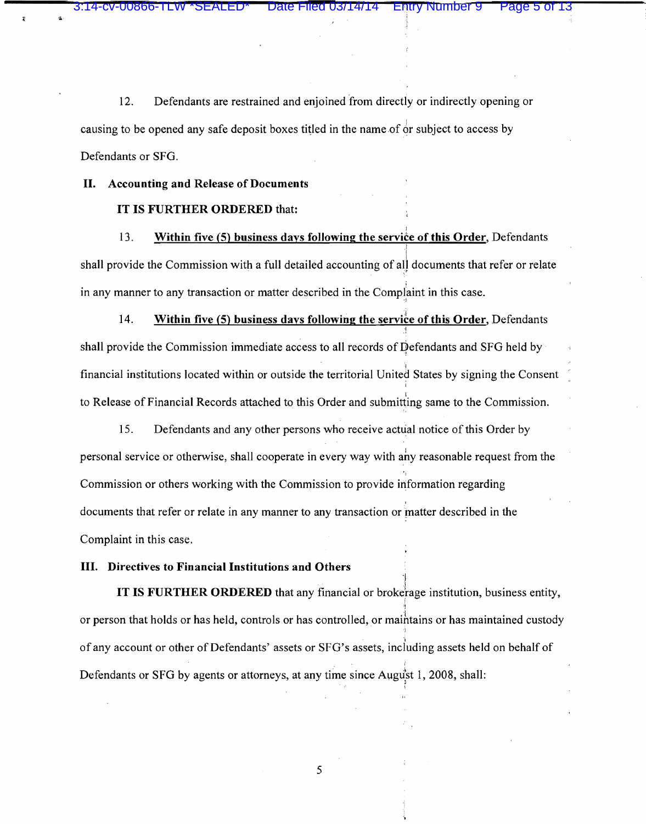12. Defendants are restrained and enjoined from directly or indirectly opening or causing to be opened any safe deposit boxes titled in the name of  $\dot{\sigma}$  subject to access by Defendants or SFG.

Entry Number 9

#### II. Accounting and Release of Documents

#### IT IS FURTHER ORDERED that:

13. Within five (5) business days following the service of this Order, Defendants I shall provide the Commission with a full detailed accounting of all documents that refer or relate in any manner to any transaction or matter described in the Complaint in this case.

14. Within five (5) business days following the service of this Order, Defendants ! shall provide the Commission immediate access to all records of Defendants and SFG held by financial institutions located within or outside the territorial United States by signing the Consent to Release of Financial Records attached to this Order and submitting same to the Commission.

15. Defendants and any other persons who receive actual notice of this Order by personal service or otherwise, shall cooperate in every way with ahy reasonable request from the Commission or others working with the Commission to provide information regarding documents that refer or relate in any manner to any transaction or matter described in the Complaint in this case.

#### III. Directives to Financial Institutions and Others

IT IS FURTHER ORDERED that any financial or brokerage institution, business entity, 'I or person that holds or has held, controls or has controlled, or maihtains or has maintained custody of any account or other of Defendants' assets or SFG's assets, including assets held on behalf of . in the component of the component of Defendants or SFG by agents or attorneys, at any time since August 1, 2008, shall:

·I

I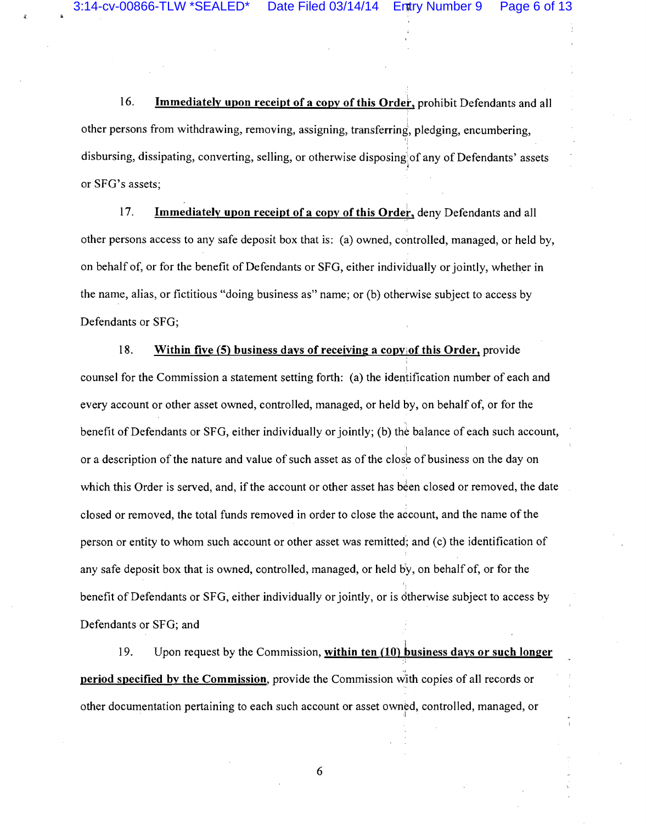16. Immediately upon receipt of a copy of this Order, prohibit Defendants and all other persons from withdrawing, removing, assigning, transferring', pledging, encumbering, disbursing, dissipating, converting, selling, or otherwise disposing of any of Defendants' assets ' or SFG's assets;

17. Immediately upon receipt of a copy of this Order, deny Defendants and all other persons access to any safe deposit box that is: (a) owned, controlled, managed, or held by, on behalf of, or for the benefit of Defendants or SFG, either individually or jointly, whether in the name, alias, or fictitious "doing business as" name; or (b) otherwise subject to access by Defendants or SFG;

18. Within five (5) business days of receiving a copy of this Order, provide I I counsel for the Commission a statement setting forth: (a) the identification number of each and every account or other asset owned, controlled, managed, or held by, on behalf of, or for the benefit of Defendants or SFG, either individually or jointly; (b) the balance of each such account, or a description of the nature and value of such asset as of the close of business on the day on which this Order is served, and, if the account or other asset has been closed or removed, the date closed or removed, the total funds removed in order to close the account, and the name of the person or entity to whom such account or other asset was remitted; and (c) the identification of any safe deposit box that is owned, controlled, managed, or held b'y, on behalf of, or for the benefit of Defendants or SFG, either individually or jointly, or is otherwise subject to access by Defendants or SFG; and

19. Upon request by the Commission, within ten  $(10)$  business days or such longer **period specified by the Commission**, provide the Commission with copies of all records or other documentation pertaining to each such account or asset own¢d, controlled, managed, or ·I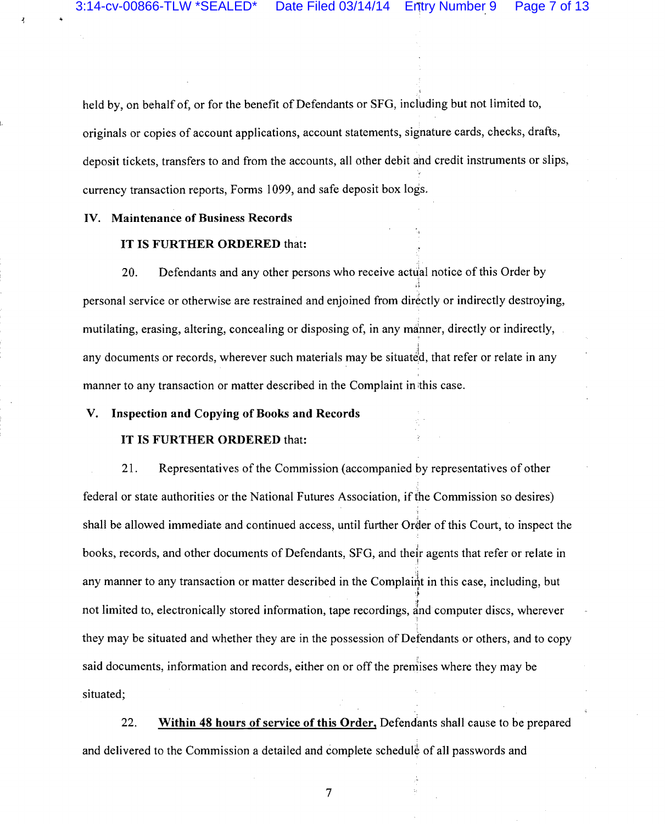held by, on behalf of, or for the benefit of Defendants or SFG, including but not limited to, originals or copies of account applications, account statements, signature cards, checks, drafts, deposit tickets, transfers to and from the accounts, all other debit and credit instruments or slips, currency transaction reports, Forms I 099, and safe deposit box logs.

#### IV. Maintenance of Business Records

## IT IS FURTHER ORDERED that:

20. Defendants and any other persons who receive actual notice of this Order by personal service or otherwise are restrained and enjoined from directly or indirectly destroying, mutilating, erasing, altering, concealing or disposing of, in any manner, directly or indirectly, any documents or records, wherever such materials may be situated, that refer or relate in any manner to any transaction or matter described in the Complaint in this case.

#### V. Inspection and Copying of Books and Records

#### IT IS FURTHER ORDERED that:

21. Representatives of the Commission (accompanied by representatives of other federal or state authorities or the National Futures Association, if the Commission so desires) shall be allowed immediate and continued access, until further Order of this Court, to inspect the books, records, and other documents of Defendants, SFG, and their agents that refer or relate in <sup>I</sup> any manner to any transaction or matter described in the Complaint in this case, including, but not limited to, electronically stored information, tape recordings, and computer discs, wherever they may be situated and whether they are in the possession of Defendants or others, and to copy said documents, information and records, either on or off the premises where they may be situated;

22. Within 48 hours of service of this Order, Defendants shall cause to be prepared and delivered to the Commission a detailed and complete schedule of all passwords and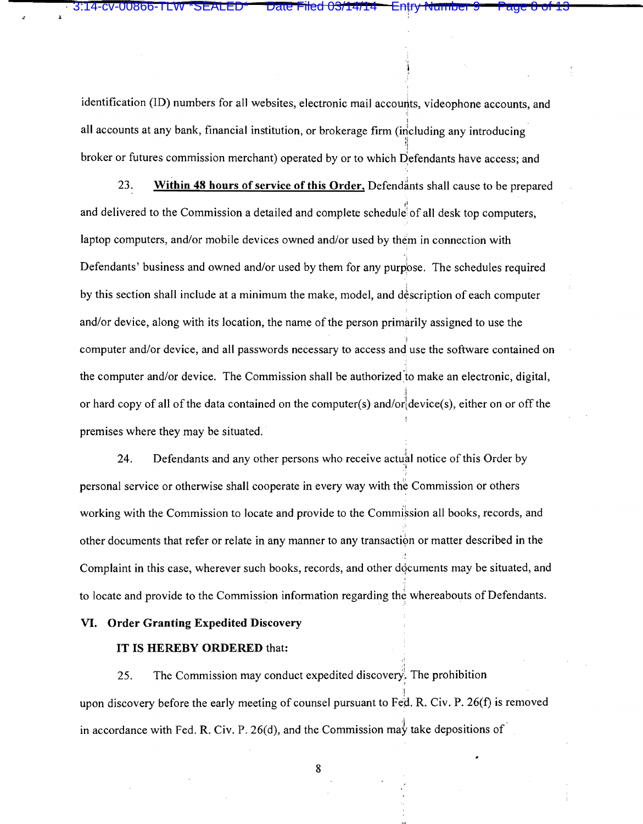identification (ID) numbers for all websites, electronic mail accounts, videophone accounts, and all accounts at any bank, financial institution, or brokerage firm (including any introducing broker or futures commission merchant) operated by or to which  $\overrightarrow{D}$ efendants have access; and

3:14-cv-00866-TLW \*SEALED\* Date Filed 03/14/14 Entry Number 9 Page 8 of 13

23. **Within 48 hours of service of this Order, Defendants shall cause to be prepared** and delivered to the Commission a detailed and complete schedule of all desk top computers, laptop computers, and/or mobile devices owned and/or used by them in connection with Defendants' business and owned and/or used by them for any purpose. The schedules required by this section shall include at a minimum the make, model, and description of each computer and/or device, along with its location, the name of the person primarily assigned to use the ·~ computer and/or device, and all passwords necessary to access and use the software contained on the computer and/or device. The Commission shall be authorized to make an electronic, digital, i or hard copy of all of the data contained on the computer(s) and/or  $device(s)$ , either on or off the premises where they may be situated.

24. Defendants and any other persons who receive actual notice of this Order by personal service or otherwise shall cooperate in every way with the Commission or others working with the Commission to locate and provide to the Commiksion all books, records, and other documents that refer or relate in any manner to any transaction or matter described in the Complaint in this case, wherever such books, records, and other documents may be situated, and to locate and provide to the Commission information regarding the whereabouts of Defendants.

#### **VI. Order Granting Expedited Discovery**

## IT IS **HEREBY ORDERED** that:

25. The Commission may conduct expedited discovery. The prohibition ' I upon discovery before the early meeting of counsel pursuant to Fed. R. Civ. P. 26(f) is removed in accordance with Fed. R. Civ. P. 26(d), and the Commission may take depositions of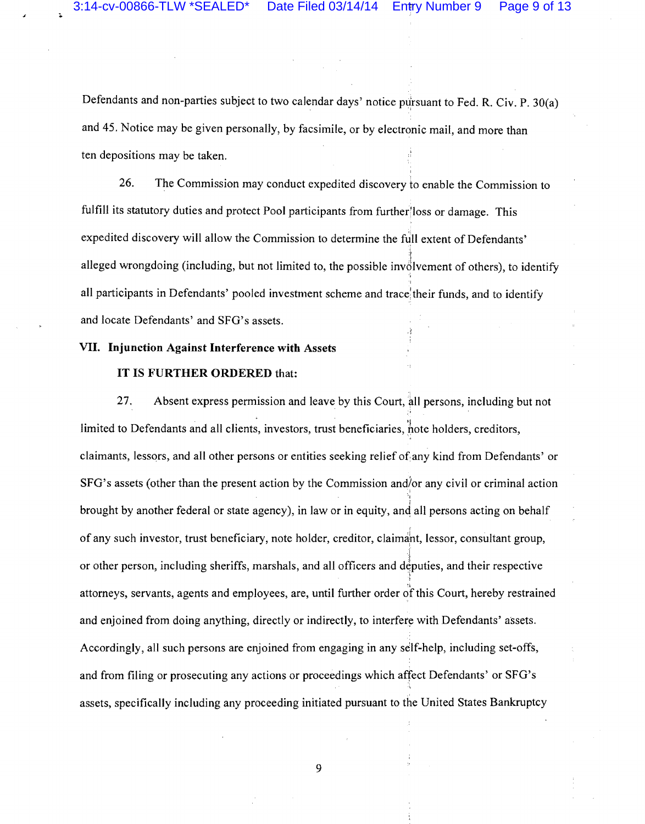Defendants and non-parties subject to two calendar days' notice pursuant to Fed. R. Civ. P. 30(a) and 45. Notice may be given personally, by facsimile, or by electronic mail, and more than ten depositions may be taken.

26. The Commission may conduct expedited discovery to enable the Commission to fulfill its statutory duties and protect Pool participants from further/loss or damage. This expedited discovery will allow the Commission to determine the full extent of Defendants' -~ alleged wrongdoing (including, but not limited to, the possible involvement of others), to identify .. all participants in Defendants' pooled investment scheme and trace their funds, and to identify and locate Defendants' and SFG's assets.

#### VII. Injunction Against Interference with Assets

#### IT IS FURTHER ORDERED that:

27. Absent express permission and leave by this Court, all persons, including but not limited to Defendants and all clients, investors, trust beneficiaries, note holders, creditors, claimants, lessors, and all other persons or entities seeking relief of any kind from Defendants' or SFG's assets (other than the present action by the Commission and/or any civil or criminal action brought by another federal or state agency), in law or in equity, and all persons acting on behalf of any such investor, trust beneficiary, note holder, creditor, claimant, lessor, consultant group, or other person, including sheriffs, marshals, and all officers and deputies, and their respective attorneys, servants, agents and employees, are, until further order of this Court, hereby restrained and enjoined from doing anything, directly or indirectly, to interfere with Defendants' assets. Accordingly, all such persons are enjoined from engaging in any seilf-help, including set-offs, and from filing or prosecuting any actions or proceedings which affect Defendants' or SFG's assets, specifically including any proceeding initiated pursuant to the United States Bankruptcy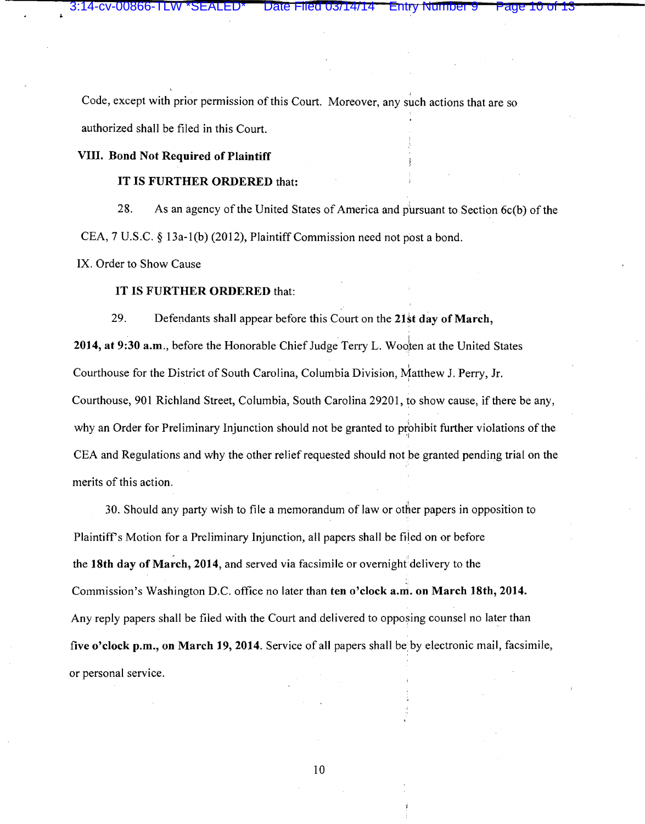Code, except with prior permission of this Court. Moreover, any such actions that are so authorized shall be filed in this Court.

# VIII. Bond Not Required of Plaintiff

## IT IS FURTHER ORDERED that:

28. As an agency of the United States of America and pursuant to Section  $6c(b)$  of the CEA, 7 U.S.C. § 13a-1(b) (2012), Plaintiff Commission need not post a bond.

IX. Order to Show Cause

# IT IS FURTHER ORDERED that:

29. Defendants shall appear before this Court on the 21st day of March,

2014, at 9:30 a.m., before the Honorable Chief Judge Terry L. Wooten at the United States Courthouse for the District of South Carolina, Columbia Division, Matthew J. Perry, Jr. Courthouse, 901 Richland Street, Columbia, South Carolina 29201, to show cause, if there be any, why an Order for Preliminary Injunction should not be granted to prohibit further violations of the CEA and Regulations and why the other relief requested should not be granted pending trial on the merits of this action.

30. Should any party wish to file a memorandum of law or other papers in opposition to Plaintiff's Motion for a Preliminary Injunction, all papers shall be filed on or before the 18th day of March, 2014, and served via facsimile or overnight delivery to the Commission's Washington D.C. office no later than ten o'clock a.m. on March 18th, 2014. Any reply papers shall be filed with the Court and delivered to opposing counsel no later than five o'clock p.m., on March 19, 2014. Service of all papers shall be by electronic mail, facsimile, or personal service.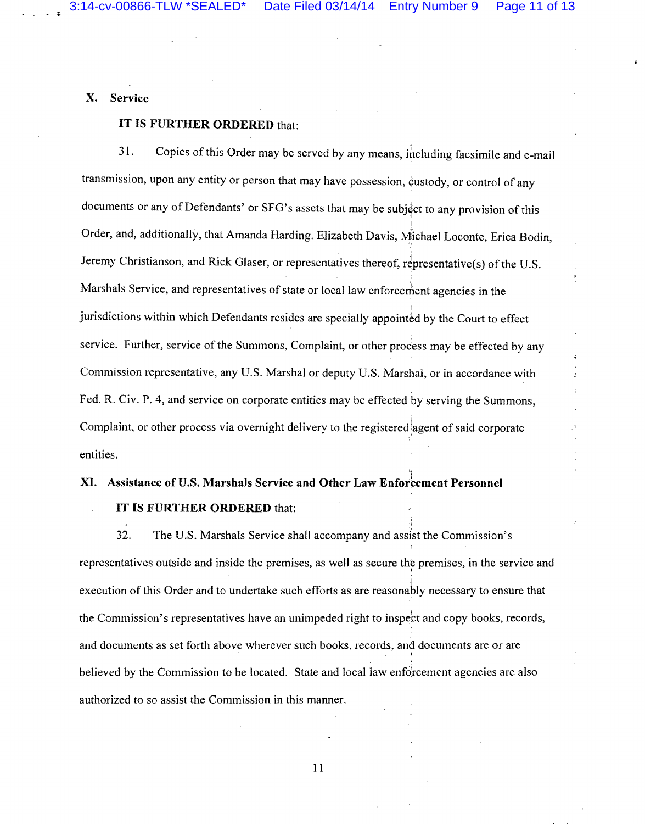'I

X. Service

## IT IS FURTHER ORDERED that:

31. Copies of this Order may be served by any means, including facsimile and e-mail transmission, upon any entity or person that may have possession, custody, or control of any documents or any of Defendants' or SFG's assets that may be subject to any provision of this Order, and, additionally, that Amanda Harding. Elizabeth Davis, Michael Loconte, Erica Bodin, Jeremy Christianson, and Rick Glaser, or representatives thereof, representative(s) of the U.S. Marshals Service, and representatives of state or local law enforcement agencies in the jurisdictions within which Defendants resides are specially appointed by the Court to effect service. Further, service of the Summons, Complaint, or other process may be effected by any Commission representative, any U.S. Marshal or deputy U.S. Marshal, or in accordance with Fed. R. Civ. P. 4, and service on corporate entities may be effected by serving the Summons, Complaint, or other process via overnight delivery to the registered:agent of said corporate entities.

## XI. Assistance of U.S. Marshals Service and Other Law Enforcement Personnel

#### IT IS FURTHER ORDERED that:

32. The U.S. Marshals Service shall accompany and assist the Commission's representatives outside and inside the premises, as well as secure the premises, in the service and execution of this Order and to undertake such efforts as are reasonably necessary to ensure that the Commission's representatives have an unimpeded right to inspect and copy books, records, and documents as set forth above wherever such books, records, and documents are or are I believed by the Commission to be located. State and local law enforcement agencies are also authorized to so assist the Commission in this manner.

II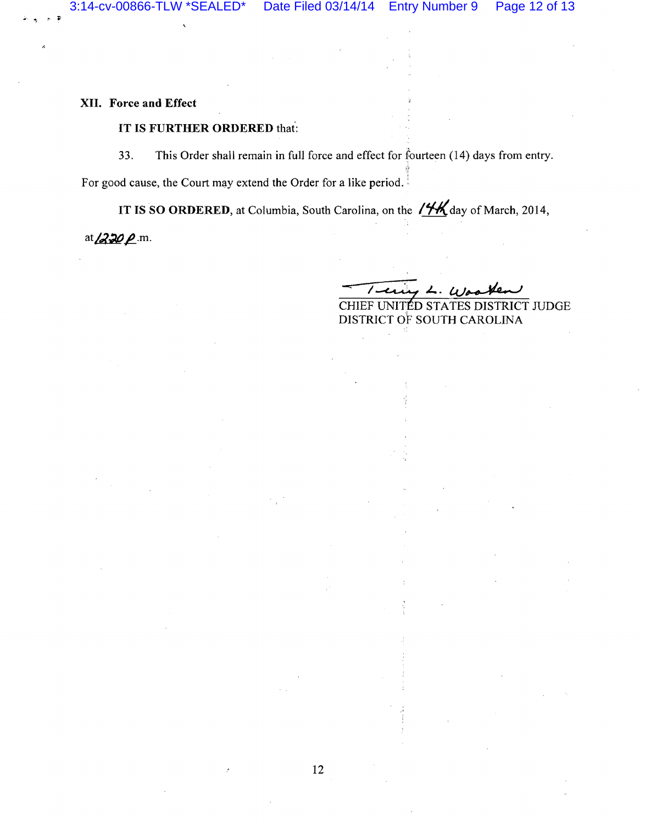**XII. Force and Effect** 

## **IT IS FURTHER ORDERED that:**

33. This Order shall remain in full force and effect for fourteen (14) days from entry.

For good cause, the Court may extend the Order for a like period.

**IT IS SO ORDERED,** at Columbia, South Carolina, on the  $/$ *i*K day of March, 2014,

12

at  $220 p$  m.

; <sup>~</sup>

CHIEF UNITED STATES DISTRICT JUDGE DISTRICT OF SOUTH CAROLINA